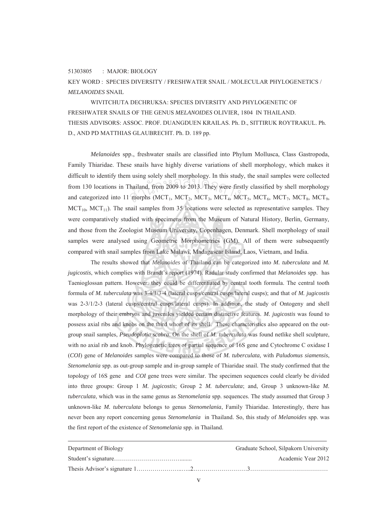## 51303805 : MAJOR: BIOLOGY

KEY WORD : SPECIES DIVERSITY / FRESHWATER SNAIL / MOLECULAR PHYLOGENETICS / *MELANOIDES* SNAIL

 WIVITCHUTA DECHRUKSA: SPECIES DIVERSITY AND PHYLOGENETIC OF FRESHWATER SNAILS OF THE GENUS *MELANOIDES* OLIVIER, 1804 IN THAILAND. THESIS ADVISORS: ASSOC. PROF. DUANGDUEN KRAILAS. Ph. D., SITTIRUK ROYTRAKUL. Ph. D., AND PD MATTHIAS GLAUBRECHT. Ph. D. 189 pp.

*Melanoides* spp., freshwater snails are classified into Phylum Mollusca, Class Gastropoda, Family Thiaridae. These snails have highly diverse variations of shell morphology, which makes it difficult to identify them using solely shell morphology. In this study, the snail samples were collected from 130 locations in Thailand, from 2009 to 2013. They were firstly classified by shell morphology and categorized into 11 morphs (MCT, MCT, MCT, MCT, MCT, MCT, MCT, MCT, from 130 locations in Thailand, from 2009 to 2013. They were firstly classified by shell morphology and categorized into 11 morphs (MCT<sub>1</sub>, MCT<sub>2</sub>, MCT<sub>3</sub>, MCT<sub>4</sub>, MCT<sub>5</sub>, MCT<sub>6</sub>, MCT<sub>7</sub>, MCT<sub>8</sub>, MCT<sub>9</sub>,  $MCT<sub>10</sub>$ ,  $MCT<sub>11</sub>$ ). The snail samples from 35 locations were selected as representative samples. They were comparatively studied with specimens from the Museum of Natural History, Berlin, Germany, and those from the Zoologist Museum University, Copenhagen, Denmark. Shell morphology of snail samples were analysed using Geometric Morphometrics (GM). All of them were subsequently compared with snail samples from Lake Malawi, Madagascar Island, Laos, Vietnam, and India.

The results showed that *Melanoides* of Thailand can be categorized into *M. tuberculata* and *M. jugicostis*, which complies with Brandt's report (1974). Radular study confirmed that *Melanoides* spp. has Taenioglossan pattern. However, they could be differentiated by central tooth formula. The central tooth formula of *M. tuberculata* was 3-4/1/3-4 (lateral cusps/central cusps/lateral cusps); and that of *M. jugicostis* was 2**-**3/1/2**-**3 (lateral cusps/central cusps/lateral cusps). In addition, the study of Ontogeny and shell morphology of their embryos and juveniles yielded certain distinctive features. *M. jugicostis* was found to possess axial ribs and knobs on the third whorl of its shell. These characteristics also appeared on the outgroup snail samples, *Pseudoplotia scabra*. On the shell of *M. tuberculata* was found netlike shell sculpture, with no axial rib and knob. Phylogenetic trees of partial sequence of 16S gene and Cytochrome C oxidase I (*COI*) gene of *Melanoides* samples were compared to those of *M. tuberculata,* with *Paludomus siamensis*, *Stenomelania* spp. as out-group sample and in-group sample of Thiaridae snail. The study confirmed that the topology of 16S gene and *COI* gene trees were similar. The specimen sequences could clearly be divided into three groups: Group 1 *M. jugicostis*; Group 2 *M. tuberculata*; and, Group 3 unknown-like *M. tuberculata*, which was in the same genus as *Stenomelania* spp. sequences. The study assumed that Group 3 unknown-like *M. tuberculata* belongs to genus *Stenomelania*, Family Thiaridae. Interestingly, there has never been any report concerning genus *Stenomelania* in Thailand. So, this study of *Melanoides* spp. was the first report of the existence of *Stenomelania* spp. in Thailand.

| Department of Biology | Graduate School, Silpakorn University |
|-----------------------|---------------------------------------|
|                       | Academic Year 2012                    |
|                       |                                       |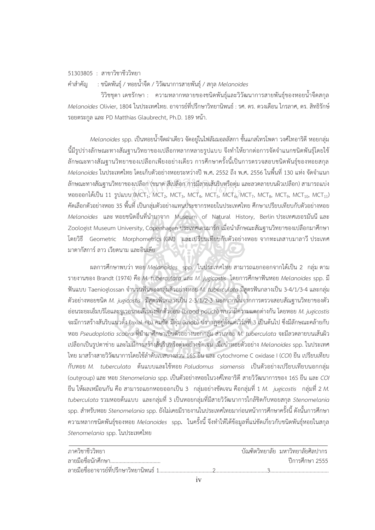51303805 : สาขาวิชาชีววิทยา

คําสําคัญ: ชนิดพันธุ / หอยน้ําจืด / วิวัฒนาการสายพันธุ / สกุล *Melanoides*

 วิวิชชุตา เดชรักษา : ความหลากหลายของชนิดพันธุและวิวัฒนาการสายพันธุของหอยน าจืดสกุล ้ํ *Melanoides* Olivier, 1804 ในประเทศไทย. อาจารยที่ปรึกษาวิทยานิพนธ: รศ. ดร. ดวงเดือน ไกรลาศ, ดร. สิทธิรักษ รอยตระกูล และ PD Matthias Glaubrecht, Ph.D. 189 หนา.

*Melanoides* spp. เปนหอยน้ําจืดฝาเดียว จัดอยูในไฟลัมมอลลัสกา ชั้นแกสโทรโพดา วงศไทอาริดีหอยกลุม นี้มีรูปร่างลักษณะทางสัณฐานวิทยาของเปลือกหลากหลายรูปแบบ จึงทำให้ยากต่อการจัดจำแนกชนิดพันธุ์โดยใช้ ลักษณะทางสัณฐานวิทยาของเปลือกเพียงอย่างเดียว การศึกษาครั้งนี้เป็นการตรวจสอบชนิดพันธุ์ของหอยสกุล ั้ Melanoides ในประเทศไทย โดยเก็บตัวอย่างหอยระหว่างปี พ**.**ศ. 2552 ถึง พ.ศ. 2556 ในพื้นที่ 130 แห่ง จัดจำแนก ลักษณะทางสัณฐานวิทยาของเปลือก (ขนาด สีเปลือก การมีลายเสนริบหรือตุม และลวดลายบนผิวเปลือก) สามารถแบง ลักษณะทางสัณฐานวิทยาของเปลือก (ขนาด สีเปลือก การมีลายเส้นริบหรือตุ่ม และลวดลายบนผิวเปลือก) สามารถแบ่ง<br>หอยออกได้เป็น 11 รูปแบบ (MCT<sub>1</sub>, MCT<sub>2</sub>, MCT<sub>3</sub>, MCT<sub>4</sub>, MCT<sub>5</sub>, MCT<sub>6</sub>, MCT<sub>7</sub>, MCT<sub>8</sub>, MCT<sub>9</sub>, MCT<sub>10</sub>, MCT<sub>11</sub>)<br>... คัดเลือกตัวอย่างหอย 35 พื้นที่ เป็นกลุ่มตัวอย่างแทนประชากรหอยในประเทศไทย ศึกษาเปรียบเทียบกับตัวอย่างหอย *Melanoides* และ หอยชนิดอื่นที่นำมาจาก Museum of Natural History, Berlin ประเทศเยอรมันนี และ ื่ Zoologist Museum University, Copenhagen ประเทศเดนมาร์ก เมื่อนำลักษณะสัณฐานวิทยาของเปลือกมาศึกษา โดยวิธี Geometric Morphometrics (GM) และเปรียบเทียบกับตัวอยางหอย จากทะเลสาบมาลาวีประเทศ มาดากัสการลาว เวียดนาม และอินเดีย

ผลการศึกษาพบวา หอย *Melanoides* spp. ในประเทศไทย สามารถแยกออกจากไดเปน 2 กลุม ตาม รายงานของ Brandt (1974) คือ *M. tuberculata* และ *M. jugicostis* โดยการศึกษาฟนหอย *Melanoides* spp. มี ฟนแบบ Taenioglossan จํานวนฟนของกลุมตัวอยางหอย *M. tuberculata* มีสูตรฟนกลางเปน 3-4/1/3-4 และกลุม ตัวอย่างหอยชนิด *M. jugicostis* มีสูตรฟันกลางเป็น 2-3/1/2-3 นอกจากนั้นจากการตรวจสอบสัณฐานวิทยาของตัว ั้ ออนระยะเอ็มบริโอและจูเวอนายลในถุงฟกตัวออน (brood pouch) พบวามีความแตกตางกัน โดยหอย *M. jugicostis*  จะมีการสร้างสันริบแนวตั้ง (axial rib) คมชัด มีตุ่ม (knob) ปรากฏอยู่ตั้งแต่เวิร์ลที่ 3 เป็นต้นไป ซึ่งมีลักษณะคล้ายกับ หอย *Pseudoplotia scabra* ที่นํามาศึกษาเปนตัวอยางนอกกลุม สวนหอย *M. tuberculata* จะมีลวดลายบนเสนผิว เปลือกเปนรูปตาขาย และไมมีการสรางสันริบหรือตุมอยางชัดเจน เม อนําหอยตัวอยาง *Melanoides* spp. ในประเทศ ื่ ไทย มาสรางสายวิวัฒนาการโดยใชลําดับเบสบางสวน 16S ยีน และ cytochrome C oxidase I (*COI*) ยีน เปรียบเทียบ กับหอย *M. tuberculata* ตนแบบและใชหอย *Paludomus siamensis* เปนตัวอยางเปรียบเทียบนอกกลุม (outgroup) และ หอย *Stenomelania* spp. เปนตัวอยางหอยในวงศไทอาริดีสายวิวัฒนาการของ 16S ยีน และ *COI* ยีน ใหผลเหมือนกัน คือ สามารถแยกหอยออกเปน 3 กลุมอยางชัดเจน คือกลุมท ี่ 1 *M. jugicostis* กลุมท ี่ 2 *M.*  tuberculata รวมหอยต้นแบบ และกลุ่มที่ 3 เป็นหอยกลุ่มที่มีสายวิวัฒนาการใกล้ชิดกับหอยสกุล *Stenomelania* spp. สำหรับหอย *Stenomelania* spp. ยังไม่เคยมีรายงานในประเทศไทยมาก่อนหน้าการศึกษาครั้งนี้ ดังนั้นการศึกษา ั้ ความหลากชนิดพันธุ์ของหอย *Melanoides* spp. ในครั้งนี้ จึงทำให้ได้ข้อมูลที่แน่ชัดเกี่ยวกับชนิดพันธุ์หอยในสกุล *Stenomelania* spp. ในประเทศไทย

| ภาควิชาชีววิทยา |  | ้ บัณฑิตวิทยาลัย  มหาวิทยาลัยศิลปากร |
|-----------------|--|--------------------------------------|
|                 |  | ์ ปีการศึกษา 2555                    |
|                 |  |                                      |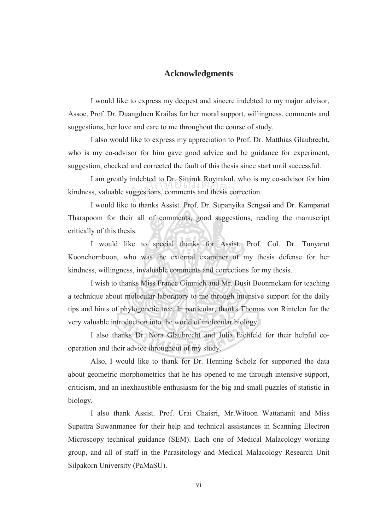## **Acknowledgments**

I would like to express my deepest and sincere indebted to my major advisor, Assoc. Prof. Dr. Duangduen Krailas for her moral support, willingness, comments and suggestions, her love and care to me throughout the course of study.

I also would like to express my appreciation to Prof. Dr. Matthias Glaubrecht, who is my co-advisor for him gave good advice and be guidance for experiment, suggestion, checked and corrected the fault of this thesis since start until successful.

I am greatly indebted to Dr. Sittiruk Roytrakul, who is my co-advisor for him kindness, valuable suggestions, comments and thesis correction. meeted to Dr. Sittiruk Roytrakui, w<br>uggestions, comments and thesis corr

I would like to thanks Assist. Prof. Dr. Supanyika Sengsai and Dr. Kampanat Tharapoom for their all of comments, good suggestions, reading the manuscript critically of this thesis.

I would like to special thanks for Assist. Prof. Col. Dr. Tunyarut Koonchornboon, who was the external examiner of my thesis defense for her kindness, willingness, invaluable comments and corrections for my thesis.

I wish to thanks Miss France Gimnich and Mr. Dusit Boonmekam for teaching a technique about molecular laboratory to me through intensive support for the daily tips and hints of phylogenetic tree. In particular, thanks Thomas von Rintelen for the very valuable introduction into the world of molecular biology.

I also thanks Dr. Nora Glaubrecht and Julia Eichfeld for their helpful cooperation and their advice throughout of my study.

Also, I would like to thank for Dr. Henning Scholz for supported the data about geometric morphometrics that he has opened to me through intensive support, criticism, and an inexhaustible enthusiasm for the big and small puzzles of statistic in biology.

I also thank Assist. Prof. Urai Chaisri, Mr.Witoon Wattananit and Miss Supattra Suwanmanee for their help and technical assistances in Scanning Electron Microscopy technical guidance (SEM). Each one of Medical Malacology working group, and all of staff in the Parasitology and Medical Malacology Research Unit Silpakorn University (PaMaSU).